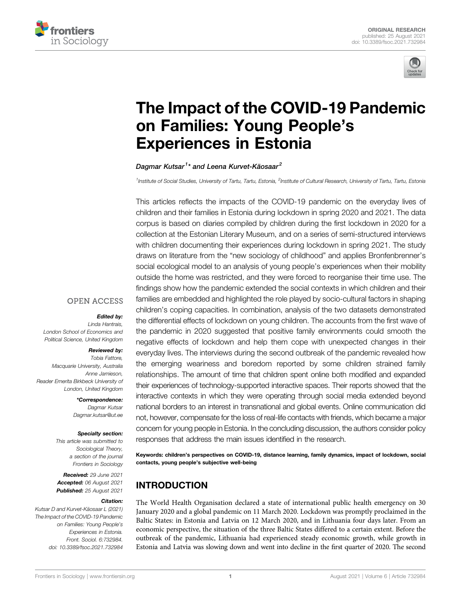



# [The Impact of the COVID-19 Pandemic](https://www.frontiersin.org/articles/10.3389/fsoc.2021.732984/full) [on Families: Young People](https://www.frontiersin.org/articles/10.3389/fsoc.2021.732984/full)'s [Experiences in Estonia](https://www.frontiersin.org/articles/10.3389/fsoc.2021.732984/full)

Dagmar Kutsar<sup>1</sup>\* and Leena Kurvet-Käosaar<sup>2</sup>

<sup>1</sup>Institute of Social Studies, University of Tartu, Tartu, Estonia, <sup>2</sup>Institute of Cultural Research, University of Tartu, Tartu, Estonia

This articles reflects the impacts of the COVID-19 pandemic on the everyday lives of children and their families in Estonia during lockdown in spring 2020 and 2021. The data corpus is based on diaries compiled by children during the first lockdown in 2020 for a collection at the Estonian Literary Museum, and on a series of semi-structured interviews with children documenting their experiences during lockdown in spring 2021. The study draws on literature from the "new sociology of childhood" and applies Bronfenbrenner's social ecological model to an analysis of young people's experiences when their mobility outside the home was restricted, and they were forced to reorganise their time use. The findings show how the pandemic extended the social contexts in which children and their families are embedded and highlighted the role played by socio-cultural factors in shaping children's coping capacities. In combination, analysis of the two datasets demonstrated the differential effects of lockdown on young children. The accounts from the first wave of the pandemic in 2020 suggested that positive family environments could smooth the negative effects of lockdown and help them cope with unexpected changes in their everyday lives. The interviews during the second outbreak of the pandemic revealed how the emerging weariness and boredom reported by some children strained family relationships. The amount of time that children spent online both modified and expanded their experiences of technology-supported interactive spaces. Their reports showed that the interactive contexts in which they were operating through social media extended beyond national borders to an interest in transnational and global events. Online communication did not, however, compensate for the loss of real-life contacts with friends, which became a major concern for young people in Estonia. In the concluding discussion, the authors consider policy responses that address the main issues identified in the research.

Keywords: children's perspectives on COVID-19, distance learning, family dynamics, impact of lockdown, social contacts, young people's subjective well-being

# INTRODUCTION

The World Health Organisation declared a state of international public health emergency on 30 January 2020 and a global pandemic on 11 March 2020. Lockdown was promptly proclaimed in the Baltic States: in Estonia and Latvia on 12 March 2020, and in Lithuania four days later. From an economic perspective, the situation of the three Baltic States differed to a certain extent. Before the outbreak of the pandemic, Lithuania had experienced steady economic growth, while growth in Estonia and Latvia was slowing down and went into decline in the first quarter of 2020. The second

#### **OPEN ACCESS**

#### Edited by:

Linda Hantrais, London School of Economics and Political Science, United Kingdom

#### Reviewed by:

Tobia Fattore, Macquarie University, Australia Anne Jamieson, Reader Emerita Birkbeck University of London, United Kingdom

> \*Correspondence: Dagmar Kutsar [Dagmar.kutsar@ut.ee](mailto:Dagmar.kutsar@ut.ee)

#### Specialty section:

This article was submitted to Sociological Theory, a section of the journal Frontiers in Sociology

Received: 29 June 2021 Accepted: 06 August 2021 Published: 25 August 2021

#### Citation:

Kutsar D and Kurvet-Käosaar L (2021) The Impact of the COVID-19 Pandemic on Families: Young People's Experiences in Estonia. Front. Sociol. 6:732984. doi: [10.3389/fsoc.2021.732984](https://doi.org/10.3389/fsoc.2021.732984)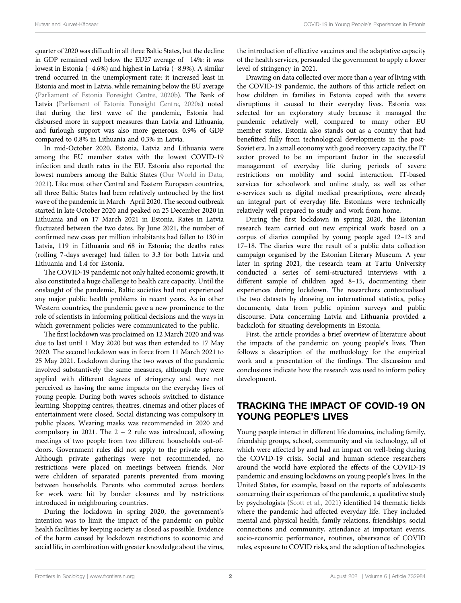quarter of 2020 was difficult in all three Baltic States, but the decline in GDP remained well below the EU27 average of −14%: it was lowest in Estonia (−4.6%) and highest in Latvia (−8.9%). A similar trend occurred in the unemployment rate: it increased least in Estonia and most in Latvia, while remaining below the EU average [\(Parliament of Estonia Foresight Centre, 2020b](#page-10-0)). The Bank of Latvia [\(Parliament of Estonia Foresight Centre, 2020a\)](#page-10-1) noted that during the first wave of the pandemic, Estonia had disbursed more in support measures than Latvia and Lithuania, and furlough support was also more generous: 0.9% of GDP compared to 0.8% in Lithuania and 0.3% in Latvia.

In mid-October 2020, Estonia, Latvia and Lithuania were among the EU member states with the lowest COVID-19 infection and death rates in the EU. Estonia also reported the lowest numbers among the Baltic States ([Our World in Data,](#page-10-2) [2021](#page-10-2)). Like most other Central and Eastern European countries, all three Baltic States had been relatively untouched by the first wave of the pandemic in March−April 2020. The second outbreak started in late October 2020 and peaked on 25 December 2020 in Lithuania and on 17 March 2021 in Estonia. Rates in Latvia fluctuated between the two dates. By June 2021, the number of confirmed new cases per million inhabitants had fallen to 130 in Latvia, 119 in Lithuania and 68 in Estonia; the deaths rates (rolling 7-days average) had fallen to 3.3 for both Latvia and Lithuania and 1.4 for Estonia.

The COVID-19 pandemic not only halted economic growth, it also constituted a huge challenge to health care capacity. Until the onslaught of the pandemic, Baltic societies had not experienced any major public health problems in recent years. As in other Western countries, the pandemic gave a new prominence to the role of scientists in informing political decisions and the ways in which government policies were communicated to the public.

The first lockdown was proclaimed on 12 March 2020 and was due to last until 1 May 2020 but was then extended to 17 May 2020. The second lockdown was in force from 11 March 2021 to 25 May 2021. Lockdown during the two waves of the pandemic involved substantively the same measures, although they were applied with different degrees of stringency and were not perceived as having the same impacts on the everyday lives of young people. During both waves schools switched to distance learning. Shopping centres, theatres, cinemas and other places of entertainment were closed. Social distancing was compulsory in public places. Wearing masks was recommended in 2020 and compulsory in 2021. The  $2 + 2$  rule was introduced, allowing meetings of two people from two different households out-ofdoors. Government rules did not apply to the private sphere. Although private gatherings were not recommended, no restrictions were placed on meetings between friends. Nor were children of separated parents prevented from moving between households. Parents who commuted across borders for work were hit by border closures and by restrictions introduced in neighbouring countries.

During the lockdown in spring 2020, the government's intention was to limit the impact of the pandemic on public health facilities by keeping society as closed as possible. Evidence of the harm caused by lockdown restrictions to economic and social life, in combination with greater knowledge about the virus,

the introduction of effective vaccines and the adaptative capacity of the health services, persuaded the government to apply a lower level of stringency in 2021.

Drawing on data collected over more than a year of living with the COVID-19 pandemic, the authors of this article reflect on how children in families in Estonia coped with the severe disruptions it caused to their everyday lives. Estonia was selected for an exploratory study because it managed the pandemic relatively well, compared to many other EU member states. Estonia also stands out as a country that had benefitted fully from technological developments in the post-Soviet era. In a small economy with good recovery capacity, the IT sector proved to be an important factor in the successful management of everyday life during periods of severe restrictions on mobility and social interaction. IT-based services for schoolwork and online study, as well as other e-services such as digital medical prescriptions, were already an integral part of everyday life. Estonians were technically relatively well prepared to study and work from home.

During the first lockdown in spring 2020, the Estonian research team carried out new empirical work based on a corpus of diaries compiled by young people aged 12–13 and 17–18. The diaries were the result of a public data collection campaign organised by the Estonian Literary Museum. A year later in spring 2021, the research team at Tartu University conducted a series of semi-structured interviews with a different sample of children aged 8–15, documenting their experiences during lockdown. The researchers contextualised the two datasets by drawing on international statistics, policy documents, data from public opinion surveys and public discourse. Data concerning Latvia and Lithuania provided a backcloth for situating developments in Estonia.

First, the article provides a brief overview of literature about the impacts of the pandemic on young people's lives. Then follows a description of the methodology for the empirical work and a presentation of the findings. The discussion and conclusions indicate how the research was used to inform policy development.

### TRACKING THE IMPACT OF COVID-19 ON YOUNG PEOPLE'S LIVES

Young people interact in different life domains, including family, friendship groups, school, community and via technology, all of which were affected by and had an impact on well-being during the COVID-19 crisis. Social and human science researchers around the world have explored the effects of the COVID-19 pandemic and ensuing lockdowns on young people's lives. In the United States, for example, based on the reports of adolescents concerning their experiences of the pandemic, a qualitative study by psychologists [\(Scott et al., 2021\)](#page-10-3) identified 14 thematic fields where the pandemic had affected everyday life. They included mental and physical health, family relations, friendships, social connections and community, attendance at important events, socio-economic performance, routines, observance of COVID rules, exposure to COVID risks, and the adoption of technologies.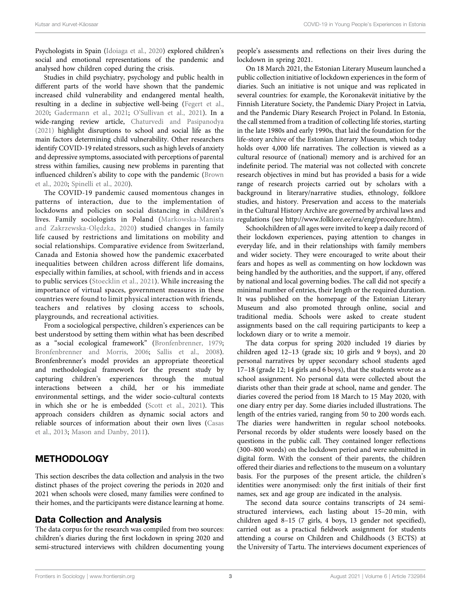Psychologists in Spain [\(Idoiaga et al., 2020](#page-10-4)) explored children's social and emotional representations of the pandemic and analysed how children coped during the crisis.

Studies in child psychiatry, psychology and public health in different parts of the world have shown that the pandemic increased child vulnerability and endangered mental health, resulting in a decline in subjective well-being [\(Fegert et al.,](#page-10-5) [2020](#page-10-5); [Gadermann et al., 2021;](#page-10-6) O'[Sullivan et al., 2021\)](#page-10-7). In a wide-ranging review article, [Chaturvedi and Pasipanodya](#page-10-8) [\(2021\)](#page-10-8) highlight disruptions to school and social life as the main factors determining child vulnerability. Other researchers identify COVID-19 related stressors, such as high levels of anxiety and depressive symptoms, associated with perceptions of parental stress within families, causing new problems in parenting that influenced children's ability to cope with the pandemic ([Brown](#page-10-9) [et al., 2020](#page-10-9); [Spinelli et al., 2020\)](#page-11-0).

The COVID-19 pandemic caused momentous changes in patterns of interaction, due to the implementation of lockdowns and policies on social distancing in children's lives. Family sociologists in Poland ([Markowska-Manista](#page-10-10) [and Zakrzewska-Ol](#page-10-10)ędzka, 2020) studied changes in family life caused by restrictions and limitations on mobility and social relationships. Comparative evidence from Switzerland, Canada and Estonia showed how the pandemic exacerbated inequalities between children across different life domains, especially within families, at school, with friends and in access to public services ([Stoecklin et al., 2021\)](#page-11-1). While increasing the importance of virtual spaces, government measures in these countries were found to limit physical interaction with friends, teachers and relatives by closing access to schools, playgrounds, and recreational activities.

From a sociological perspective, children's experiences can be best understood by setting them within what has been described as a "social ecological framework" ([Bronfenbrenner, 1979](#page-10-11); [Bronfenbrenner and Morris, 2006](#page-10-12); [Sallis et al., 2008\)](#page-10-13). Bronfenbrenner's model provides an appropriate theoretical and methodological framework for the present study by capturing children's experiences through the mutual interactions between a child, her or his immediate environmental settings, and the wider socio-cultural contexts in which she or he is embedded [\(Scott et al., 2021\)](#page-10-3). This approach considers children as dynamic social actors and reliable sources of information about their own lives ([Casas](#page-10-14) [et al., 2013](#page-10-14); [Mason and Danby, 2011](#page-10-15)).

#### **METHODOLOGY**

This section describes the data collection and analysis in the two distinct phases of the project covering the periods in 2020 and 2021 when schools were closed, many families were confined to their homes, and the participants were distance learning at home.

#### Data Collection and Analysis

The data corpus for the research was compiled from two sources: children's diaries during the first lockdown in spring 2020 and semi-structured interviews with children documenting young

people's assessments and reflections on their lives during the lockdown in spring 2021.

On 18 March 2021, the Estonian Literary Museum launched a public collection initiative of lockdown experiences in the form of diaries. Such an initiative is not unique and was replicated in several countries: for example, the Koronakevät initiative by the Finnish Literature Society, the Pandemic Diary Project in Latvia, and the Pandemic Diary Research Project in Poland. In Estonia, the call stemmed from a tradition of collecting life stories, starting in the late 1980s and early 1990s, that laid the foundation for the life-story archive of the Estonian Literary Museum, which today holds over 4,000 life narratives. The collection is viewed as a cultural resource of (national) memory and is archived for an indefinite period. The material was not collected with concrete research objectives in mind but has provided a basis for a wide range of research projects carried out by scholars with a background in literary/narrative studies, ethnology, folklore studies, and history. Preservation and access to the materials in the Cultural History Archive are governed by archival laws and regulations (see [http://www.folklore.ee/era/eng/procedure.htm\)](http://www.folklore.ee/era/eng/procedure.htm).

Schoolchildren of all ages were invited to keep a daily record of their lockdown experiences, paying attention to changes in everyday life, and in their relationships with family members and wider society. They were encouraged to write about their fears and hopes as well as commenting on how lockdown was being handled by the authorities, and the support, if any, offered by national and local governing bodies. The call did not specify a minimal number of entries, their length or the required duration. It was published on the homepage of the Estonian Literary Museum and also promoted through online, social and traditional media. Schools were asked to create student assignments based on the call requiring participants to keep a lockdown diary or to write a memoir.

The data corpus for spring 2020 included 19 diaries by children aged 12–13 (grade six; 10 girls and 9 boys), and 20 personal narratives by upper secondary school students aged 17–18 (grade 12; 14 girls and 6 boys), that the students wrote as a school assignment. No personal data were collected about the diarists other than their grade at school, name and gender. The diaries covered the period from 18 March to 15 May 2020, with one diary entry per day. Some diaries included illustrations. The length of the entries varied, ranging from 50 to 200 words each. The diaries were handwritten in regular school notebooks. Personal records by older students were loosely based on the questions in the public call. They contained longer reflections (300–800 words) on the lockdown period and were submitted in digital form. With the consent of their parents, the children offered their diaries and reflections to the museum on a voluntary basis. For the purposes of the present article, the children's identities were anonymised: only the first initials of their first names, sex and age group are indicated in the analysis.

The second data source contains transcripts of 24 semistructured interviews, each lasting about 15–20 min, with children aged 8–15 (7 girls, 4 boys, 13 gender not specified), carried out as a practical fieldwork assignment for students attending a course on Children and Childhoods (3 ECTS) at the University of Tartu. The interviews document experiences of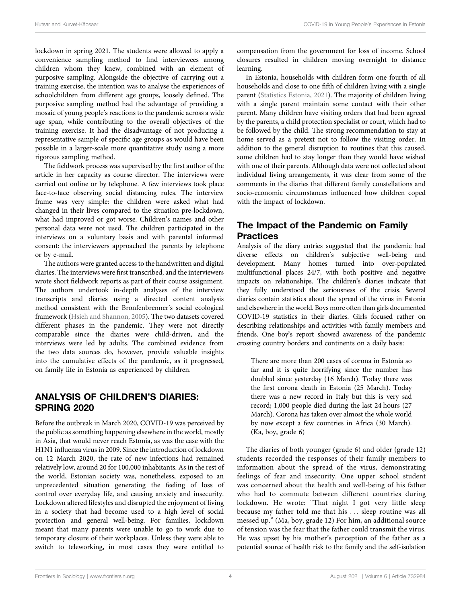lockdown in spring 2021. The students were allowed to apply a convenience sampling method to find interviewees among children whom they knew, combined with an element of purposive sampling. Alongside the objective of carrying out a training exercise, the intention was to analyse the experiences of schoolchildren from different age groups, loosely defined. The purposive sampling method had the advantage of providing a mosaic of young people's reactions to the pandemic across a wide age span, while contributing to the overall objectives of the training exercise. It had the disadvantage of not producing a representative sample of specific age groups as would have been possible in a larger-scale more quantitative study using a more rigorous sampling method.

The fieldwork process was supervised by the first author of the article in her capacity as course director. The interviews were carried out online or by telephone. A few interviews took place face-to-face observing social distancing rules. The interview frame was very simple: the children were asked what had changed in their lives compared to the situation pre-lockdown, what had improved or got worse. Children's names and other personal data were not used. The children participated in the interviews on a voluntary basis and with parental informed consent: the interviewers approached the parents by telephone or by e-mail.

The authors were granted access to the handwritten and digital diaries. The interviews were first transcribed, and the interviewers wrote short fieldwork reports as part of their course assignment. The authors undertook in-depth analyses of the interview transcripts and diaries using a directed content analysis method consistent with the Bronfenbrenner's social ecological framework ([Hsieh and Shannon, 2005\)](#page-10-16). The two datasets covered different phases in the pandemic. They were not directly comparable since the diaries were child-driven, and the interviews were led by adults. The combined evidence from the two data sources do, however, provide valuable insights into the cumulative effects of the pandemic, as it progressed, on family life in Estonia as experienced by children.

## ANALYSIS OF CHILDREN'S DIARIES: SPRING 2020

Before the outbreak in March 2020, COVID-19 was perceived by the public as something happening elsewhere in the world, mostly in Asia, that would never reach Estonia, as was the case with the H1N1 influenza virus in 2009. Since the introduction of lockdown on 12 March 2020, the rate of new infections had remained relatively low, around 20 for 100,000 inhabitants. As in the rest of the world, Estonian society was, nonetheless, exposed to an unprecedented situation generating the feeling of loss of control over everyday life, and causing anxiety and insecurity. Lockdown altered lifestyles and disrupted the enjoyment of living in a society that had become used to a high level of social protection and general well-being. For families, lockdown meant that many parents were unable to go to work due to temporary closure of their workplaces. Unless they were able to switch to teleworking, in most cases they were entitled to

compensation from the government for loss of income. School closures resulted in children moving overnight to distance learning.

In Estonia, households with children form one fourth of all households and close to one fifth of children living with a single parent ([Statistics Estonia, 2021\)](#page-11-2). The majority of children living with a single parent maintain some contact with their other parent. Many children have visiting orders that had been agreed by the parents, a child protection specialist or court, which had to be followed by the child. The strong recommendation to stay at home served as a pretext not to follow the visiting order. In addition to the general disruption to routines that this caused, some children had to stay longer than they would have wished with one of their parents. Although data were not collected about individual living arrangements, it was clear from some of the comments in the diaries that different family constellations and socio-economic circumstances influenced how children coped with the impact of lockdown.

#### The Impact of the Pandemic on Family **Practices**

Analysis of the diary entries suggested that the pandemic had diverse effects on children's subjective well-being and development. Many homes turned into over-populated multifunctional places 24/7, with both positive and negative impacts on relationships. The children's diaries indicate that they fully understood the seriousness of the crisis. Several diaries contain statistics about the spread of the virus in Estonia and elsewhere in the world. Boys more often than girls documented COVID-19 statistics in their diaries. Girls focused rather on describing relationships and activities with family members and friends. One boy's report showed awareness of the pandemic crossing country borders and continents on a daily basis:

There are more than 200 cases of corona in Estonia so far and it is quite horrifying since the number has doubled since yesterday (16 March). Today there was the first corona death in Estonia (25 March). Today there was a new record in Italy but this is very sad record; 1,000 people died during the last 24 hours (27 March). Corona has taken over almost the whole world by now except a few countries in Africa (30 March). (Ka, boy, grade 6)

The diaries of both younger (grade 6) and older (grade 12) students recorded the responses of their family members to information about the spread of the virus, demonstrating feelings of fear and insecurity. One upper school student was concerned about the health and well-being of his father who had to commute between different countries during lockdown. He wrote: "That night I got very little sleep because my father told me that his ... sleep routine was all messed up." (Ma, boy, grade 12) For him, an additional source of tension was the fear that the father could transmit the virus. He was upset by his mother's perception of the father as a potential source of health risk to the family and the self-isolation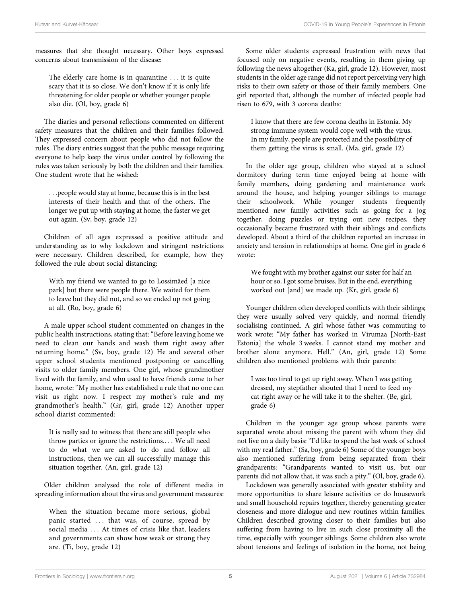measures that she thought necessary. Other boys expressed concerns about transmission of the disease:

The elderly care home is in quarantine ... it is quite scary that it is so close. We don't know if it is only life threatening for older people or whether younger people also die. (Ol, boy, grade 6)

The diaries and personal reflections commented on different safety measures that the children and their families followed. They expressed concern about people who did not follow the rules. The diary entries suggest that the public message requiring everyone to help keep the virus under control by following the rules was taken seriously by both the children and their families. One student wrote that he wished:

...people would stay at home, because this is in the best interests of their health and that of the others. The longer we put up with staying at home, the faster we get out again. (Sv, boy, grade 12)

Children of all ages expressed a positive attitude and understanding as to why lockdown and stringent restrictions were necessary. Children described, for example, how they followed the rule about social distancing:

With my friend we wanted to go to Lossimäed [a nice park] but there were people there. We waited for them to leave but they did not, and so we ended up not going at all. (Ro, boy, grade 6)

A male upper school student commented on changes in the public health instructions, stating that: "Before leaving home we need to clean our hands and wash them right away after returning home." (Sv, boy, grade 12) He and several other upper school students mentioned postponing or cancelling visits to older family members. One girl, whose grandmother lived with the family, and who used to have friends come to her home, wrote: "My mother has established a rule that no one can visit us right now. I respect my mother's rule and my grandmother's health." (Gr, girl, grade 12) Another upper school diarist commented:

It is really sad to witness that there are still people who throw parties or ignore the restrictions.... We all need to do what we are asked to do and follow all instructions, then we can all successfully manage this situation together. (An, girl, grade 12)

Older children analysed the role of different media in spreading information about the virus and government measures:

When the situation became more serious, global panic started ... that was, of course, spread by social media ... At times of crisis like that, leaders and governments can show how weak or strong they are. (Ti, boy, grade 12)

Some older students expressed frustration with news that focused only on negative events, resulting in them giving up following the news altogether (Ka, girl, grade 12). However, most students in the older age range did not report perceiving very high risks to their own safety or those of their family members. One girl reported that, although the number of infected people had risen to 679, with 3 corona deaths:

I know that there are few corona deaths in Estonia. My strong immune system would cope well with the virus. In my family, people are protected and the possibility of them getting the virus is small. (Ma, girl, grade 12)

In the older age group, children who stayed at a school dormitory during term time enjoyed being at home with family members, doing gardening and maintenance work around the house, and helping younger siblings to manage their schoolwork. While younger students frequently mentioned new family activities such as going for a jog together, doing puzzles or trying out new recipes, they occasionally became frustrated with their siblings and conflicts developed. About a third of the children reported an increase in anxiety and tension in relationships at home. One girl in grade 6 wrote:

We fought with my brother against our sister for half an hour or so. I got some bruises. But in the end, everything worked out [and] we made up. (Kr, girl, grade 6)

Younger children often developed conflicts with their siblings; they were usually solved very quickly, and normal friendly socialising continued. A girl whose father was commuting to work wrote: "My father has worked in Virumaa [North-East Estonia] the whole 3 weeks. I cannot stand my mother and brother alone anymore. Hell." (An, girl, grade 12) Some children also mentioned problems with their parents:

I was too tired to get up right away. When I was getting dressed, my stepfather shouted that I need to feed my cat right away or he will take it to the shelter. (Be, girl, grade 6)

Children in the younger age group whose parents were separated wrote about missing the parent with whom they did not live on a daily basis: "I'd like to spend the last week of school with my real father." (Sa, boy, grade 6) Some of the younger boys also mentioned suffering from being separated from their grandparents: "Grandparents wanted to visit us, but our parents did not allow that, it was such a pity." (Ol, boy, grade 6).

Lockdown was generally associated with greater stability and more opportunities to share leisure activities or do housework and small household repairs together, thereby generating greater closeness and more dialogue and new routines within families. Children described growing closer to their families but also suffering from having to live in such close proximity all the time, especially with younger siblings. Some children also wrote about tensions and feelings of isolation in the home, not being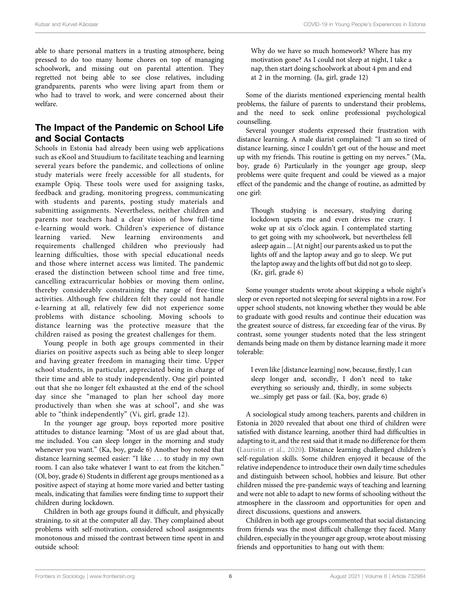able to share personal matters in a trusting atmosphere, being pressed to do too many home chores on top of managing schoolwork, and missing out on parental attention. They regretted not being able to see close relatives, including grandparents, parents who were living apart from them or who had to travel to work, and were concerned about their welfare.

#### The Impact of the Pandemic on School Life and Social Contacts

Schools in Estonia had already been using web applications such as eKool and Stuudium to facilitate teaching and learning several years before the pandemic, and collections of online study materials were freely accessible for all students, for example Opiq. These tools were used for assigning tasks, feedback and grading, monitoring progress, communicating with students and parents, posting study materials and submitting assignments. Nevertheless, neither children and parents nor teachers had a clear vision of how full-time e-learning would work. Children's experience of distance learning varied. New learning environments and requirements challenged children who previously had learning difficulties, those with special educational needs and those where internet access was limited. The pandemic erased the distinction between school time and free time, cancelling extracurricular hobbies or moving them online, thereby considerably constraining the range of free-time activities. Although few children felt they could not handle e-learning at all, relatively few did not experience some problems with distance schooling. Moving schools to distance learning was the protective measure that the children raised as posing the greatest challenges for them.

Young people in both age groups commented in their diaries on positive aspects such as being able to sleep longer and having greater freedom in managing their time. Upper school students, in particular, appreciated being in charge of their time and able to study independently. One girl pointed out that she no longer felt exhausted at the end of the school day since she "managed to plan her school day more productively than when she was at school", and she was able to "think independently" (Vi, girl, grade 12).

In the younger age group, boys reported more positive attitudes to distance learning: "Most of us are glad about that, me included. You can sleep longer in the morning and study whenever you want." (Ka, boy, grade 6) Another boy noted that distance learning seemed easier: "I like ... to study in my own room. I can also take whatever I want to eat from the kitchen." (Ol, boy, grade 6) Students in different age groups mentioned as a positive aspect of staying at home more varied and better tasting meals, indicating that families were finding time to support their children during lockdown.

Children in both age groups found it difficult, and physically straining, to sit at the computer all day. They complained about problems with self-motivation, considered school assignments monotonous and missed the contrast between time spent in and outside school:

Why do we have so much homework? Where has my motivation gone? As I could not sleep at night, I take a nap, then start doing schoolwork at about 4 pm and end at 2 in the morning. (Ja, girl, grade 12)

Some of the diarists mentioned experiencing mental health problems, the failure of parents to understand their problems, and the need to seek online professional psychological counselling.

Several younger students expressed their frustration with distance learning. A male diarist complained: "I am so tired of distance learning, since I couldn't get out of the house and meet up with my friends. This routine is getting on my nerves." (Ma, boy, grade 6) Particularly in the younger age group, sleep problems were quite frequent and could be viewed as a major effect of the pandemic and the change of routine, as admitted by one girl:

Though studying is necessary, studying during lockdown upsets me and even drives me crazy. I woke up at six o'clock again. I contemplated starting to get going with my schoolwork, but nevertheless fell asleep again ... [At night] our parents asked us to put the lights off and the laptop away and go to sleep. We put the laptop away and the lights off but did not go to sleep. (Kr, girl, grade 6)

Some younger students wrote about skipping a whole night's sleep or even reported not sleeping for several nights in a row. For upper school students, not knowing whether they would be able to graduate with good results and continue their education was the greatest source of distress, far exceeding fear of the virus. By contrast, some younger students noted that the less stringent demands being made on them by distance learning made it more tolerable:

I even like [distance learning] now, because, firstly, I can sleep longer and, secondly, I don't need to take everything so seriously and, thirdly, in some subjects we...simply get pass or fail. (Ka, boy, grade 6)

A sociological study among teachers, parents and children in Estonia in 2020 revealed that about one third of children were satisfied with distance learning, another third had difficulties in adapting to it, and the rest said that it made no difference for them [\(Lauristin et al., 2020\)](#page-10-17). Distance learning challenged children's self-regulation skills. Some children enjoyed it because of the relative independence to introduce their own daily time schedules and distinguish between school, hobbies and leisure. But other children missed the pre-pandemic ways of teaching and learning and were not able to adapt to new forms of schooling without the atmosphere in the classroom and opportunities for open and direct discussions, questions and answers.

Children in both age groups commented that social distancing from friends was the most difficult challenge they faced. Many children, especially in the younger age group, wrote about missing friends and opportunities to hang out with them: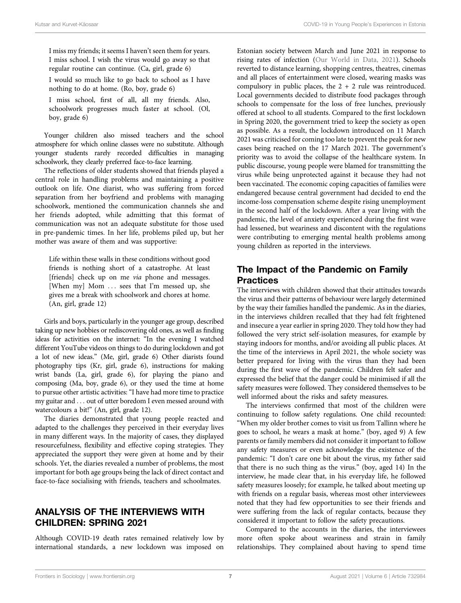I miss my friends; it seems I haven't seen them for years. I miss school. I wish the virus would go away so that regular routine can continue. (Ca, girl, grade 6)

I would so much like to go back to school as I have nothing to do at home. (Ro, boy, grade 6)

I miss school, first of all, all my friends. Also, schoolwork progresses much faster at school. (Ol, boy, grade 6)

Younger children also missed teachers and the school atmosphere for which online classes were no substitute. Although younger students rarely recorded difficulties in managing schoolwork, they clearly preferred face-to-face learning.

The reflections of older students showed that friends played a central role in handling problems and maintaining a positive outlook on life. One diarist, who was suffering from forced separation from her boyfriend and problems with managing schoolwork, mentioned the communication channels she and her friends adopted, while admitting that this format of communication was not an adequate substitute for those used in pre-pandemic times. In her life, problems piled up, but her mother was aware of them and was supportive:

Life within these walls in these conditions without good friends is nothing short of a catastrophe. At least [friends] check up on me *via* phone and messages. [When my] Mom ... sees that I'm messed up, she gives me a break with schoolwork and chores at home. (An, girl, grade 12)

Girls and boys, particularly in the younger age group, described taking up new hobbies or rediscovering old ones, as well as finding ideas for activities on the internet: "In the evening I watched different YouTube videos on things to do during lockdown and got a lot of new ideas." (Me, girl, grade 6) Other diarists found photography tips (Kr, girl, grade 6), instructions for making wrist bands (La, girl, grade 6), for playing the piano and composing (Ma, boy, grade 6), or they used the time at home to pursue other artistic activities: "I have had more time to practice my guitar and ... out of utter boredom I even messed around with watercolours a bit!" (An, girl, grade 12).

The diaries demonstrated that young people reacted and adapted to the challenges they perceived in their everyday lives in many different ways. In the majority of cases, they displayed resourcefulness, flexibility and effective coping strategies. They appreciated the support they were given at home and by their schools. Yet, the diaries revealed a number of problems, the most important for both age groups being the lack of direct contact and face-to-face socialising with friends, teachers and schoolmates.

#### ANALYSIS OF THE INTERVIEWS WITH CHILDREN: SPRING 2021

Although COVID-19 death rates remained relatively low by international standards, a new lockdown was imposed on

Estonian society between March and June 2021 in response to rising rates of infection ([Our World in Data, 2021](#page-10-2)). Schools reverted to distance learning, shopping centres, theatres, cinemas and all places of entertainment were closed, wearing masks was compulsory in public places, the  $2 + 2$  rule was reintroduced. Local governments decided to distribute food packages through schools to compensate for the loss of free lunches, previously offered at school to all students. Compared to the first lockdown in Spring 2020, the government tried to keep the society as open as possible. As a result, the lockdown introduced on 11 March 2021 was criticised for coming too late to prevent the peak for new cases being reached on the 17 March 2021. The government's priority was to avoid the collapse of the healthcare system. In public discourse, young people were blamed for transmitting the virus while being unprotected against it because they had not been vaccinated. The economic coping capacities of families were endangered because central government had decided to end the income-loss compensation scheme despite rising unemployment in the second half of the lockdown. After a year living with the pandemic, the level of anxiety experienced during the first wave had lessened, but weariness and discontent with the regulations were contributing to emerging mental health problems among young children as reported in the interviews.

#### The Impact of the Pandemic on Family **Practices**

The interviews with children showed that their attitudes towards the virus and their patterns of behaviour were largely determined by the way their families handled the pandemic. As in the diaries, in the interviews children recalled that they had felt frightened and insecure a year earlier in spring 2020. They told how they had followed the very strict self-isolation measures, for example by staying indoors for months, and/or avoiding all public places. At the time of the interviews in April 2021, the whole society was better prepared for living with the virus than they had been during the first wave of the pandemic. Children felt safer and expressed the belief that the danger could be minimised if all the safety measures were followed. They considered themselves to be well informed about the risks and safety measures.

The interviews confirmed that most of the children were continuing to follow safety regulations. One child recounted: "When my older brother comes to visit us from Tallinn where he goes to school, he wears a mask at home." (boy, aged 9) A few parents or family members did not consider it important to follow any safety measures or even acknowledge the existence of the pandemic: "I don't care one bit about the virus, my father said that there is no such thing as the virus." (boy, aged 14) In the interview, he made clear that, in his everyday life, he followed safety measures loosely; for example, he talked about meeting up with friends on a regular basis, whereas most other interviewees noted that they had few opportunities to see their friends and were suffering from the lack of regular contacts, because they considered it important to follow the safety precautions.

Compared to the accounts in the diaries, the interviewees more often spoke about weariness and strain in family relationships. They complained about having to spend time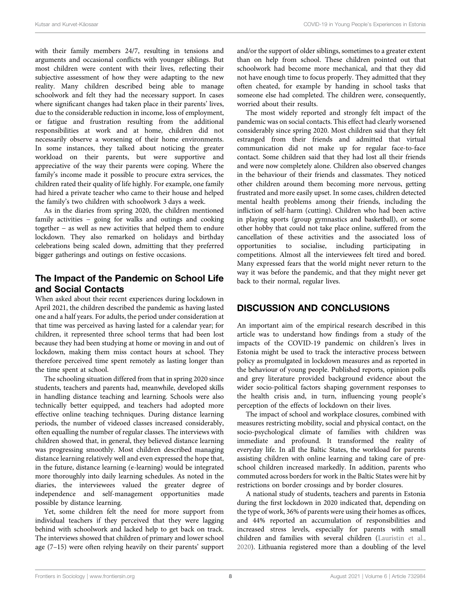with their family members 24/7, resulting in tensions and arguments and occasional conflicts with younger siblings. But most children were content with their lives, reflecting their subjective assessment of how they were adapting to the new reality. Many children described being able to manage schoolwork and felt they had the necessary support. In cases where significant changes had taken place in their parents' lives, due to the considerable reduction in income, loss of employment, or fatigue and frustration resulting from the additional responsibilities at work and at home, children did not necessarily observe a worsening of their home environments. In some instances, they talked about noticing the greater workload on their parents, but were supportive and appreciative of the way their parents were coping. Where the family's income made it possible to procure extra services, the children rated their quality of life highly. For example, one family had hired a private teacher who came to their house and helped the family's two children with schoolwork 3 days a week.

As in the diaries from spring 2020, the children mentioned family activities − going for walks and outings and cooking together − as well as new activities that helped them to endure lockdown. They also remarked on holidays and birthday celebrations being scaled down, admitting that they preferred bigger gatherings and outings on festive occasions.

#### The Impact of the Pandemic on School Life and Social Contacts

When asked about their recent experiences during lockdown in April 2021, the children described the pandemic as having lasted one and a half years. For adults, the period under consideration at that time was perceived as having lasted for a calendar year; for children, it represented three school terms that had been lost because they had been studying at home or moving in and out of lockdown, making them miss contact hours at school. They therefore perceived time spent remotely as lasting longer than the time spent at school.

The schooling situation differed from that in spring 2020 since students, teachers and parents had, meanwhile, developed skills in handling distance teaching and learning. Schools were also technically better equipped, and teachers had adopted more effective online teaching techniques. During distance learning periods, the number of videoed classes increased considerably, often equalling the number of regular classes. The interviews with children showed that, in general, they believed distance learning was progressing smoothly. Most children described managing distance learning relatively well and even expressed the hope that, in the future, distance learning (e-learning) would be integrated more thoroughly into daily learning schedules. As noted in the diaries, the interviewees valued the greater degree of independence and self-management opportunities made possible by distance learning.

Yet, some children felt the need for more support from individual teachers if they perceived that they were lagging behind with schoolwork and lacked help to get back on track. The interviews showed that children of primary and lower school age (7–15) were often relying heavily on their parents' support and/or the support of older siblings, sometimes to a greater extent than on help from school. These children pointed out that schoolwork had become more mechanical, and that they did not have enough time to focus properly. They admitted that they often cheated, for example by handing in school tasks that someone else had completed. The children were, consequently, worried about their results.

The most widely reported and strongly felt impact of the pandemic was on social contacts. This effect had clearly worsened considerably since spring 2020. Most children said that they felt estranged from their friends and admitted that virtual communication did not make up for regular face-to-face contact. Some children said that they had lost all their friends and were now completely alone. Children also observed changes in the behaviour of their friends and classmates. They noticed other children around them becoming more nervous, getting frustrated and more easily upset. In some cases, children detected mental health problems among their friends, including the infliction of self-harm (cutting). Children who had been active in playing sports (group gymnastics and basketball), or some other hobby that could not take place online, suffered from the cancellation of these activities and the associated loss of opportunities to socialise, including participating in competitions. Almost all the interviewees felt tired and bored. Many expressed fears that the world might never return to the way it was before the pandemic, and that they might never get back to their normal, regular lives.

# DISCUSSION AND CONCLUSIONS

An important aim of the empirical research described in this article was to understand how findings from a study of the impacts of the COVID-19 pandemic on children's lives in Estonia might be used to track the interactive process between policy as promulgated in lockdown measures and as reported in the behaviour of young people. Published reports, opinion polls and grey literature provided background evidence about the wider socio-political factors shaping government responses to the health crisis and, in turn, influencing young people's perception of the effects of lockdown on their lives.

The impact of school and workplace closures, combined with measures restricting mobility, social and physical contact, on the socio-psychological climate of families with children was immediate and profound. It transformed the reality of everyday life. In all the Baltic States, the workload for parents assisting children with online learning and taking care of preschool children increased markedly. In addition, parents who commuted across borders for work in the Baltic States were hit by restrictions on border crossings and by border closures.

A national study of students, teachers and parents in Estonia during the first lockdown in 2020 indicated that, depending on the type of work, 36% of parents were using their homes as offices, and 44% reported an accumulation of responsibilities and increased stress levels, especially for parents with small children and families with several children [\(Lauristin et al.,](#page-10-17) [2020](#page-10-17)). Lithuania registered more than a doubling of the level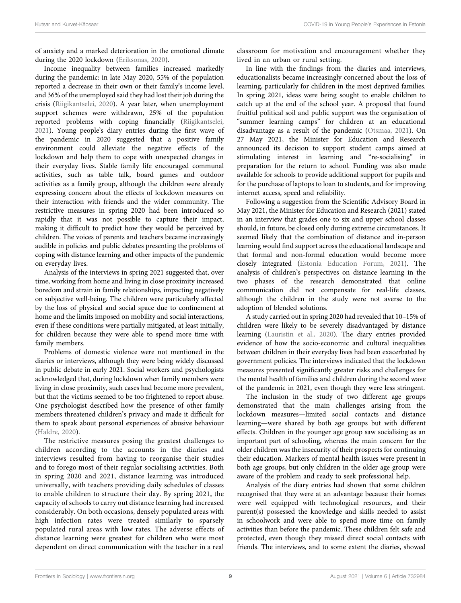of anxiety and a marked deterioration in the emotional climate during the 2020 lockdown [\(Eriksonas, 2020](#page-10-18)).

Income inequality between families increased markedly during the pandemic: in late May 2020, 55% of the population reported a decrease in their own or their family's income level, and 36% of the unemployed said they had lost their job during the crisis ([Riigikantselei, 2020\)](#page-10-19). A year later, when unemployment support schemes were withdrawn, 25% of the population reported problems with coping financially ([Riigikantselei,](#page-10-20) [2021](#page-10-20)). Young people's diary entries during the first wave of the pandemic in 2020 suggested that a positive family environment could alleviate the negative effects of the lockdown and help them to cope with unexpected changes in their everyday lives. Stable family life encouraged communal activities, such as table talk, board games and outdoor activities as a family group, although the children were already expressing concern about the effects of lockdown measures on their interaction with friends and the wider community. The restrictive measures in spring 2020 had been introduced so rapidly that it was not possible to capture their impact, making it difficult to predict how they would be perceived by children. The voices of parents and teachers became increasingly audible in policies and public debates presenting the problems of coping with distance learning and other impacts of the pandemic on everyday lives.

Analysis of the interviews in spring 2021 suggested that, over time, working from home and living in close proximity increased boredom and strain in family relationships, impacting negatively on subjective well-being. The children were particularly affected by the loss of physical and social space due to confinement at home and the limits imposed on mobility and social interactions, even if these conditions were partially mitigated, at least initially, for children because they were able to spend more time with family members.

Problems of domestic violence were not mentioned in the diaries or interviews, although they were being widely discussed in public debate in early 2021. Social workers and psychologists acknowledged that, during lockdown when family members were living in close proximity, such cases had become more prevalent, but that the victims seemed to be too frightened to report abuse. One psychologist described how the presence of other family members threatened children's privacy and made it difficult for them to speak about personal experiences of abusive behaviour ([Haldre, 2020\)](#page-10-21).

The restrictive measures posing the greatest challenges to children according to the accounts in the diaries and interviews resulted from having to reorganise their studies and to forego most of their regular socialising activities. Both in spring 2020 and 2021, distance learning was introduced universally, with teachers providing daily schedules of classes to enable children to structure their day. By spring 2021, the capacity of schools to carry out distance learning had increased considerably. On both occasions, densely populated areas with high infection rates were treated similarly to sparsely populated rural areas with low rates. The adverse effects of distance learning were greatest for children who were most dependent on direct communication with the teacher in a real

classroom for motivation and encouragement whether they lived in an urban or rural setting.

In line with the findings from the diaries and interviews, educationalists became increasingly concerned about the loss of learning, particularly for children in the most deprived families. In spring 2021, ideas were being sought to enable children to catch up at the end of the school year. A proposal that found fruitful political soil and public support was the organisation of "summer learning camps" for children at an educational disadvantage as a result of the pandemic [\(Otsmaa, 2021](#page-10-22)). On 27 May 2021, the Minister for Education and Research announced its decision to support student camps aimed at stimulating interest in learning and "re-socialising" in preparation for the return to school. Funding was also made available for schools to provide additional support for pupils and for the purchase of laptops to loan to students, and for improving internet access, speed and reliability.

Following a suggestion from the Scientific Advisory Board in May 2021, the Minister for Education and Research (2021) stated in an interview that grades one to six and upper school classes should, in future, be closed only during extreme circumstances. It seemed likely that the combination of distance and in-person learning would find support across the educational landscape and that formal and non-formal education would become more closely integrated [\(Estonia Education Forum, 2021](#page-10-23)). The analysis of children's perspectives on distance learning in the two phases of the research demonstrated that online communication did not compensate for real-life classes, although the children in the study were not averse to the adoption of blended solutions.

A study carried out in spring 2020 had revealed that 10–15% of children were likely to be severely disadvantaged by distance learning ([Lauristin et al., 2020\)](#page-10-17). The diary entries provided evidence of how the socio-economic and cultural inequalities between children in their everyday lives had been exacerbated by government policies. The interviews indicated that the lockdown measures presented significantly greater risks and challenges for the mental health of families and children during the second wave of the pandemic in 2021, even though they were less stringent.

The inclusion in the study of two different age groups demonstrated that the main challenges arising from the lockdown measures—limited social contacts and distance learning—were shared by both age groups but with different effects. Children in the younger age group saw socialising as an important part of schooling, whereas the main concern for the older children was the insecurity of their prospects for continuing their education. Markers of mental health issues were present in both age groups, but only children in the older age group were aware of the problem and ready to seek professional help.

Analysis of the diary entries had shown that some children recognised that they were at an advantage because their homes were well equipped with technological resources, and their parent(s) possessed the knowledge and skills needed to assist in schoolwork and were able to spend more time on family activities than before the pandemic. These children felt safe and protected, even though they missed direct social contacts with friends. The interviews, and to some extent the diaries, showed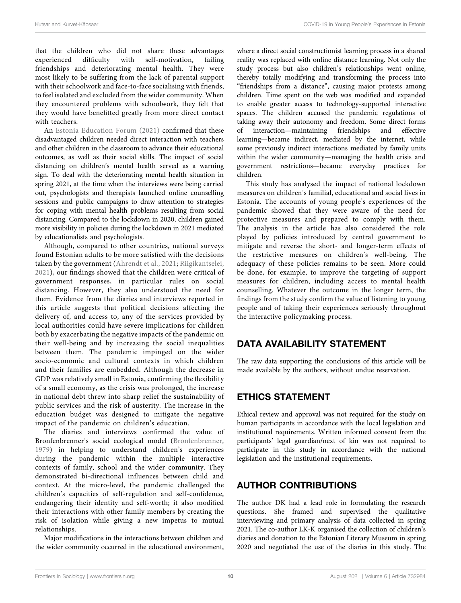that the children who did not share these advantages experienced difficulty with self-motivation, failing friendships and deteriorating mental health. They were most likely to be suffering from the lack of parental support with their schoolwork and face-to-face socialising with friends, to feel isolated and excluded from the wider community. When they encountered problems with schoolwork, they felt that they would have benefitted greatly from more direct contact with teachers.

An [Estonia Education Forum \(2021\)](#page-10-23) confirmed that these disadvantaged children needed direct interaction with teachers and other children in the classroom to advance their educational outcomes, as well as their social skills. The impact of social distancing on children's mental health served as a warning sign. To deal with the deteriorating mental health situation in spring 2021, at the time when the interviews were being carried out, psychologists and therapists launched online counselling sessions and public campaigns to draw attention to strategies for coping with mental health problems resulting from social distancing. Compared to the lockdown in 2020, children gained more visibility in policies during the lockdown in 2021 mediated by educationalists and psychologists.

Although, compared to other countries, national surveys found Estonian adults to be more satisfied with the decisions taken by the government ([Ahrendt et al., 2021](#page-10-24); [Riigikantselei,](#page-10-20) [2021\)](#page-10-20), our findings showed that the children were critical of government responses, in particular rules on social distancing. However, they also understood the need for them. Evidence from the diaries and interviews reported in this article suggests that political decisions affecting the delivery of, and access to, any of the services provided by local authorities could have severe implications for children both by exacerbating the negative impacts of the pandemic on their well-being and by increasing the social inequalities between them. The pandemic impinged on the wider socio-economic and cultural contexts in which children and their families are embedded. Although the decrease in GDP was relatively small in Estonia, confirming the flexibility of a small economy, as the crisis was prolonged, the increase in national debt threw into sharp relief the sustainability of public services and the risk of austerity. The increase in the education budget was designed to mitigate the negative impact of the pandemic on children's education.

The diaries and interviews confirmed the value of Bronfenbrenner's social ecological model ([Bronfenbrenner,](#page-10-11) [1979](#page-10-11)) in helping to understand children's experiences during the pandemic within the multiple interactive contexts of family, school and the wider community. They demonstrated bi-directional influences between child and context. At the micro-level, the pandemic challenged the children's capacities of self-regulation and self-confidence, endangering their identity and self-worth; it also modified their interactions with other family members by creating the risk of isolation while giving a new impetus to mutual relationships.

Major modifications in the interactions between children and the wider community occurred in the educational environment, where a direct social constructionist learning process in a shared reality was replaced with online distance learning. Not only the study process but also children's relationships went online, thereby totally modifying and transforming the process into "friendships from a distance", causing major protests among children. Time spent on the web was modified and expanded to enable greater access to technology-supported interactive spaces. The children accused the pandemic regulations of taking away their autonomy and freedom. Some direct forms interaction—maintaining friendships and effective learning—became indirect, mediated by the internet, while some previously indirect interactions mediated by family units within the wider community—managing the health crisis and government restrictions—became everyday practices for children.

This study has analysed the impact of national lockdown measures on children's familial, educational and social lives in Estonia. The accounts of young people's experiences of the pandemic showed that they were aware of the need for protective measures and prepared to comply with them. The analysis in the article has also considered the role played by policies introduced by central government to mitigate and reverse the short- and longer-term effects of the restrictive measures on children's well-being. The adequacy of these policies remains to be seen. More could be done, for example, to improve the targeting of support measures for children, including access to mental health counselling. Whatever the outcome in the longer term, the findings from the study confirm the value of listening to young people and of taking their experiences seriously throughout the interactive policymaking process.

## DATA AVAILABILITY STATEMENT

The raw data supporting the conclusions of this article will be made available by the authors, without undue reservation.

## ETHICS STATEMENT

Ethical review and approval was not required for the study on human participants in accordance with the local legislation and institutional requirements. Written informed consent from the participants' legal guardian/next of kin was not required to participate in this study in accordance with the national legislation and the institutional requirements.

## AUTHOR CONTRIBUTIONS

The author DK had a lead role in formulating the research questions. She framed and supervised the qualitative interviewing and primary analysis of data collected in spring 2021. The co-author LK-K organised the collection of children's diaries and donation to the Estonian Literary Museum in spring 2020 and negotiated the use of the diaries in this study. The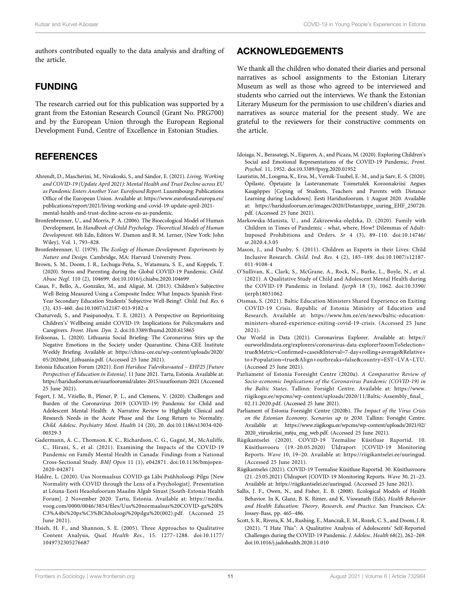authors contributed equally to the data analysis and drafting of the article.

### FUNDING

The research carried out for this publication was supported by a grant from the Estonian Research Council (Grant No. PRG700) and by the European Union through the European Regional Development Fund, Centre of Excellence in Estonian Studies.

### **REFERENCES**

- <span id="page-10-24"></span>Ahrendt, D., Mascherini, M., Nivakoski, S., and Sándor, E. (2021). Living, Working and COVID-19 (Update April 2021): Mental Health and Trust Decline across EU as Pandemic Enters Another Year. Eurofound Report. Luxembourg: Publications Office of the European Union. Available at: [https://www.eurofound.europa.eu/](https://www.eurofound.europa.eu/publications/report/2021/living-working-and-covid-19-update-april-2021-mental-health-and-trust-decline-across-eu-as-pandemic) [publications/report/2021/living-working-and-covid-19-update-april-2021](https://www.eurofound.europa.eu/publications/report/2021/living-working-and-covid-19-update-april-2021-mental-health-and-trust-decline-across-eu-as-pandemic) [mental-health-and-trust-decline-across-eu-as-pandemic.](https://www.eurofound.europa.eu/publications/report/2021/living-working-and-covid-19-update-april-2021-mental-health-and-trust-decline-across-eu-as-pandemic)
- <span id="page-10-12"></span>Bronfenbrenner, U., and Morris, P. A. (2006). The Bioecological Model of Human Development, In Handbook of Child Psychology. Theoretical Models of Human Development. 6th Edn, Editors W. Damon and R. M. Lerner, (New York: John Wiley), Vol. 1, 793–828.
- <span id="page-10-11"></span>Bronfenbrenner, U. (1979). The Ecology of Human Development: Experiments by Nature and Design. Cambridge, MA: Harvard University Press.
- <span id="page-10-9"></span>Brown, S. M., Doom, J. R., Lechuga-Peña, S., Watamura, S. E., and Koppels, T. (2020). Stress and Parenting during the Global COVID-19 Pandemic. Child. Abuse Negl. 110 (2), 104699. doi:[10.1016/j.chiabu.2020.104699](https://doi.org/10.1016/j.chiabu.2020.104699)
- <span id="page-10-14"></span>Casas, F., Bello, A., González, M., and Aligué, M. (2013). Children's Subjective Well-Being Measured Using a Composite Index: What Impacts Spanish First-Year Secondary Education Students' Subjective Well-Being?. Child. Ind. Res. 6 (3), 433–460. doi:[10.1007/s12187-013-9182-x](https://doi.org/10.1007/s12187-013-9182-x)
- <span id="page-10-8"></span>Chaturvedi, S., and Pasipanodya, T. E. (2021). A Perspective on Reprioritizing Children's' Wellbeing amidst COVID-19: Implications for Policymakers and Caregivers. Front. Hum. Dyn. 2. doi:[10.3389/fhumd.2020.615865](https://doi.org/10.3389/fhumd.2020.615865)
- <span id="page-10-18"></span>Eriksonas, L. (2020). Lithuania Social Briefing: The Coronavirus Stirs up the Negative Emotions in the Society under Quarantine. China-CEE Institute Weekly Briefing. Available at: [https://china-cee.eu/wp-content/uploads/2020/](https://china-cee.eu/wp-content/uploads/2020/05/2020s04_Lithuania.pdf) [05/2020s04\\_Lithuania.pdf](https://china-cee.eu/wp-content/uploads/2020/05/2020s04_Lithuania.pdf). (Accessed 25 June 2021).
- <span id="page-10-23"></span>Estonia Education Forum (2021). Eesti Hariduse Tulevikuvaated − EHF25 [Future Perspectives of Education in Estonia]. 11 June 2021. Tartu, Estonia. Available at: <https://haridusfoorum.ee/suurfoorumid/alates-2015/suurfoorum-2021> (Accessed 25 June 2021).
- <span id="page-10-5"></span>Fegert, J. M., Vitiello, B., Plener, P. L., and Clemens, V. (2020). Challenges and Burden of the Coronavirus 2019 (COVID-19) Pandemic for Child and Adolescent Mental Health: A Narrative Review to Highlight Clinical and Research Needs in the Acute Phase and the Long Return to Normality. Child. Adolesc. Psychiatry Ment. Health 14 (20), 20. doi:[10.1186/s13034-020-](https://doi.org/10.1186/s13034-020-00329-3) [00329-3](https://doi.org/10.1186/s13034-020-00329-3)
- <span id="page-10-6"></span>Gadermann, A. C., Thomson, K. C., Richardson, C. G., Gagné, M., McAuliffe, C., Hirani, S., et al. (2021). Examining the Impacts of the COVID-19 Pandemic on Family Mental Health in Canada: Findings from a National Cross-Sectional Study. BMJ Open 11 (1), e042871. doi[:10.1136/bmjopen-](https://doi.org/10.1136/bmjopen-2020-042871)[2020-042871](https://doi.org/10.1136/bmjopen-2020-042871)
- <span id="page-10-21"></span>Haldre, L. (2020). Uus Normaalsus COVID-ga Läbi Psühholoogi Pilgu [New Normality with COVID through the Lens of a Psychologist]. Presentation at Lõuna-Eesti Heaolufoorum Maailm Algab Sinust [South-Estonia Health Forum]. 2 November 2020. Tartu, Estonia. Available at: [https://media.](https://media.voog.com/0000/0046/3854/files/Uus%20normaalsus%20COVID-ga%20l%C3%A4bi%20ps%C3%BChholoogi%20pilgu%20(002).pdf) voog.com/0000/0046/3854/fi[les/Uus%20normaalsus%20COVID-ga%20l%](https://media.voog.com/0000/0046/3854/files/Uus%20normaalsus%20COVID-ga%20l%C3%A4bi%20ps%C3%BChholoogi%20pilgu%20(002).pdf) [C3%A4bi%20ps%C3%BChholoogi%20pilgu%20\(002\).pdf.](https://media.voog.com/0000/0046/3854/files/Uus%20normaalsus%20COVID-ga%20l%C3%A4bi%20ps%C3%BChholoogi%20pilgu%20(002).pdf) (Accessed 25 June 2021).
- <span id="page-10-16"></span>Hsieh, H. F., and Shannon, S. E. (2005). Three Approaches to Qualitative Content Analysis, Qual. Health Res., 15. 1277–1288. doi:[10.1177/](https://doi.org/10.1177/1049732305276687) [1049732305276687](https://doi.org/10.1177/1049732305276687)

### ACKNOWLEDGEMENTS

We thank all the children who donated their diaries and personal narratives as school assignments to the Estonian Literary Museum as well as those who agreed to be interviewed and students who carried out the interviews. We thank the Estonian Literary Museum for the permission to use children's diaries and narratives as source material for the present study. We are grateful to the reviewers for their constructive comments on the article.

- <span id="page-10-4"></span>Idoiaga, N., Berasategi, N., Eiguren, A., and Picaza, M. (2020). Exploring Children's Social and Emotional Representations of the COVID-19 Pandemic. Front. Psychol. 11, 1952. doi[:10.3389/fpsyg.2020.01952](https://doi.org/10.3389/fpsyg.2020.01952)
- <span id="page-10-17"></span>Lauristin, M., Loogma, K., Erss, M., Vernik-Tuubel, E.-M., and ja Sarv, E.-S. (2020). Õpilaste, Õpetajate Ja Lastevanemate Toimetulek Koroonakriisi Aegses Kaugõppes [Coping of Students, Teachers and Parents with Distance Learning during Lockdown]. Eesti Haridusfoorum. 1 August 2020. Available at: [https://haridusfoorum.ee/images/2020/Distantsppe\\_uuring\\_EHF\\_250720.](https://haridusfoorum.ee/images/2020/Distantsppe_uuring_EHF_250720.pdf) [pdf](https://haridusfoorum.ee/images/2020/Distantsppe_uuring_EHF_250720.pdf). (Accessed 25 June 2021).
- <span id="page-10-10"></span>Markowska-Manista, U., and Zakrzewska-olędzka, D. (2020). Family with Children in Times of Pandemic - what, where, How? Dilemmas of Adult-Imposed Prohibitions and Orders. Sr 4 (3), 89–110. doi:[10.14746/](https://doi.org/10.14746/sr.2020.4.3.05) [sr.2020.4.3.05](https://doi.org/10.14746/sr.2020.4.3.05)
- <span id="page-10-15"></span>Mason, J., and Danby, S. (2011). Children as Experts in their Lives: Child Inclusive Research. Child. Ind. Res. 4 (2), 185–189. doi[:10.1007/s12187-](https://doi.org/10.1007/s12187-011-9108-4) [011-9108-4](https://doi.org/10.1007/s12187-011-9108-4)
- <span id="page-10-7"></span>O'Sullivan, K., Clark, S., McGrane, A., Rock, N., Burke, L., Boyle, N., et al. (2021). A Qualitative Study of Child and Adolescent Mental Health during the COVID-19 Pandemic in Ireland. Ijerph 18 (3), 1062. doi:[10.3390/](https://doi.org/10.3390/ijerph18031062) [ijerph18031062](https://doi.org/10.3390/ijerph18031062)
- <span id="page-10-22"></span>Otsmaa, S. (2021). Baltic Education Ministers Shared Experience on Exiting COVID-19 Crisis. Republic of Estonia Ministry of Education and Research. Available at: [https://www.hm.ee/en/news/baltic-education](https://www.hm.ee/en/news/baltic-education-ministers-shared-experience-exiting-covid-19-crisis)[ministers-shared-experience-exiting-covid-19-crisis.](https://www.hm.ee/en/news/baltic-education-ministers-shared-experience-exiting-covid-19-crisis) (Accessed 25 June 2021).
- <span id="page-10-2"></span>Our World in Data (2021). Coronavirus Explorer. Available at: [https://](https://ourworldindata.org/explorers/coronavirus-data-explorer?zoomToSelection=true&Metric=Confirmed+cases&Interval=7-day+rolling+average&Relative+to+Population=true&Align+outbreaks=false&country=EST%7ELVA%7ELTU) [ourworldindata.org/explorers/coronavirus-data-explorer?zoomToSelection](https://ourworldindata.org/explorers/coronavirus-data-explorer?zoomToSelection=true&Metric=Confirmed+cases&Interval=7-day+rolling+average&Relative+to+Population=true&Align+outbreaks=false&country=EST%7ELVA%7ELTU) [true&Metric](https://ourworldindata.org/explorers/coronavirus-data-explorer?zoomToSelection=true&Metric=Confirmed+cases&Interval=7-day+rolling+average&Relative+to+Population=true&Align+outbreaks=false&country=EST%7ELVA%7ELTU)=Confi[rmed+cases&Interval](https://ourworldindata.org/explorers/coronavirus-data-explorer?zoomToSelection=true&Metric=Confirmed+cases&Interval=7-day+rolling+average&Relative+to+Population=true&Align+outbreaks=false&country=EST%7ELVA%7ELTU)=[7-day+rolling+average&Relative+](https://ourworldindata.org/explorers/coronavirus-data-explorer?zoomToSelection=true&Metric=Confirmed+cases&Interval=7-day+rolling+average&Relative+to+Population=true&Align+outbreaks=false&country=EST%7ELVA%7ELTU) [to+Population](https://ourworldindata.org/explorers/coronavirus-data-explorer?zoomToSelection=true&Metric=Confirmed+cases&Interval=7-day+rolling+average&Relative+to+Population=true&Align+outbreaks=false&country=EST%7ELVA%7ELTU)=[true&Align+outbreaks](https://ourworldindata.org/explorers/coronavirus-data-explorer?zoomToSelection=true&Metric=Confirmed+cases&Interval=7-day+rolling+average&Relative+to+Population=true&Align+outbreaks=false&country=EST%7ELVA%7ELTU)=[false&country](https://ourworldindata.org/explorers/coronavirus-data-explorer?zoomToSelection=true&Metric=Confirmed+cases&Interval=7-day+rolling+average&Relative+to+Population=true&Align+outbreaks=false&country=EST%7ELVA%7ELTU)=[EST](https://ourworldindata.org/explorers/coronavirus-data-explorer?zoomToSelection=true&Metric=Confirmed+cases&Interval=7-day+rolling+average&Relative+to+Population=true&Align+outbreaks=false&country=EST%7ELVA%7ELTU)∼[LVA](https://ourworldindata.org/explorers/coronavirus-data-explorer?zoomToSelection=true&Metric=Confirmed+cases&Interval=7-day+rolling+average&Relative+to+Population=true&Align+outbreaks=false&country=EST%7ELVA%7ELTU)∼[LTU](https://ourworldindata.org/explorers/coronavirus-data-explorer?zoomToSelection=true&Metric=Confirmed+cases&Interval=7-day+rolling+average&Relative+to+Population=true&Align+outbreaks=false&country=EST%7ELVA%7ELTU). (Accessed 25 June 2021).
- <span id="page-10-1"></span>Parliament of Estonia Foresight Centre (2020a). A Comparative Review of Socio-economic Implications of the Coronavirus Pandemic (COVID-19) in the Baltic States. Tallinn: Forsight Centre. Available at: [https://www.](https://www.riigikogu.ee/wpcms/wp-content/uploads/2020/11/Baltic-Assembly_final_02.11.2020.pdf) [riigikogu.ee/wpcms/wp-content/uploads/2020/11/Baltic-Assembly\\_](https://www.riigikogu.ee/wpcms/wp-content/uploads/2020/11/Baltic-Assembly_final_02.11.2020.pdf)final\_ [02.11.2020.pdf](https://www.riigikogu.ee/wpcms/wp-content/uploads/2020/11/Baltic-Assembly_final_02.11.2020.pdf). (Accessed 25 June 2021).
- <span id="page-10-0"></span>Parliament of Estonia Foresight Centre (2020b). The Impact of the Virus Crisis on the Estonian Economy. Scenarios up to 2030. Tallinn: Forsight Centre. Available at: [https://www.riigikogu.ee/wpcms/wp-content/uploads/2021/02/](https://www.riigikogu.ee/wpcms/wp-content/uploads/2021/02/2020_viiruskriisi_m6ju_eng_web.pdf) [2020\\_viiruskriisi\\_m6ju\\_eng\\_web.pdf.](https://www.riigikogu.ee/wpcms/wp-content/uploads/2021/02/2020_viiruskriisi_m6ju_eng_web.pdf) (Accessed 25 June 2021).
- <span id="page-10-19"></span>Riigikantselei (2020). COVID-19 Teemalise Küsitluse Raportid. 10. Küsitlusvooru (19.-20.05.2020) Üldraport [COVID-19 Monitoring Reports. Wave 10, 19–20. Available at:<https://riigikantselei.ee/uuringud>. (Accessed 25 June 2021).
- <span id="page-10-20"></span>Riigikantselei (2021). COVID-19 Teemalise Küsitluse Raportid. 30. Küsitlusvooru (21.-23.05.2021) Üldraport [COVID-19 Monitoring Reports. Wave 30, 21–23. Available at: [https://riigikantselei.ee/uuringud.](https://riigikantselei.ee/uuringud) (Accessed 25 June 2021).
- <span id="page-10-13"></span>Sallis, J. F., Owen, N., and Fisher, E. B. (2008). Ecological Models of Health Behavior. In K. Glanz, B. K. Rimer, and K. Viswanath (Eds), Health Behavior and Health Education: Theory, Research, and Practice. San Francisco, CA: Jossey-Bass, pp. 465–486.
- <span id="page-10-3"></span>Scott, S. R., Rivera, K. M., Rushing, E., Manczak, E. M., Rozek, C. S., and Doom, J. R. (2021). "I Hate This": A Qualitative Analysis of Adolescents' Self-Reported Challenges during the COVID-19 Pandemic. J. Adolesc. Health 68(2), 262–269. doi[:10.1016/j.jadohealth.2020.11.010](https://doi.org/10.1016/j.jadohealth.2020.11.010)